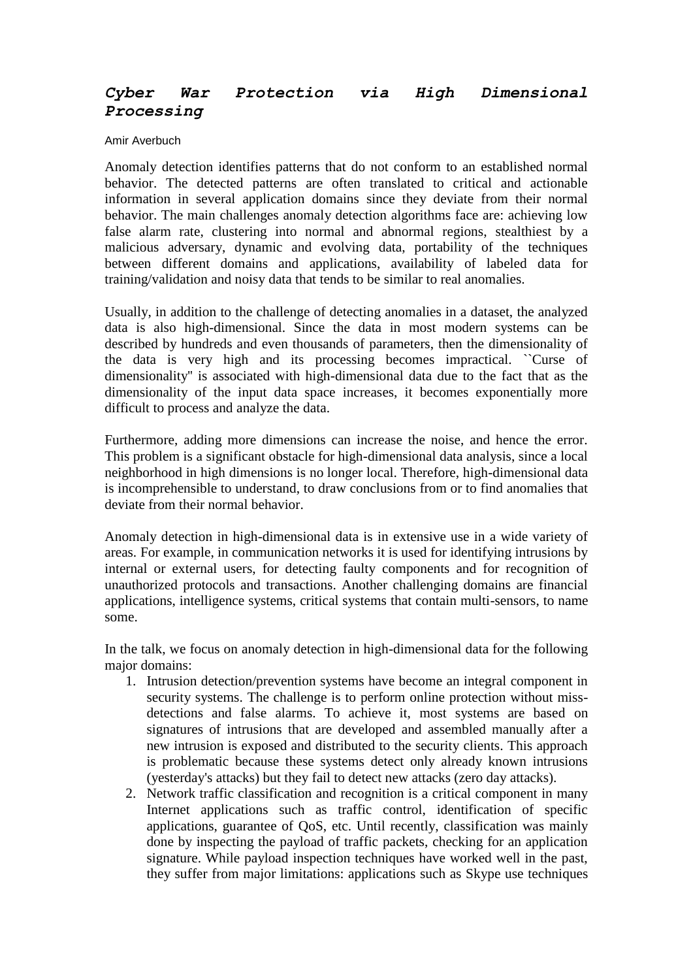## *Cyber War Protection via High Dimensional Processing*

## Amir Averbuch

Anomaly detection identifies patterns that do not conform to an established normal behavior. The detected patterns are often translated to critical and actionable information in several application domains since they deviate from their normal behavior. The main challenges anomaly detection algorithms face are: achieving low false alarm rate, clustering into normal and abnormal regions, stealthiest by a malicious adversary, dynamic and evolving data, portability of the techniques between different domains and applications, availability of labeled data for training/validation and noisy data that tends to be similar to real anomalies.

Usually, in addition to the challenge of detecting anomalies in a dataset, the analyzed data is also high-dimensional. Since the data in most modern systems can be described by hundreds and even thousands of parameters, then the dimensionality of the data is very high and its processing becomes impractical. ``Curse of dimensionality'' is associated with high-dimensional data due to the fact that as the dimensionality of the input data space increases, it becomes exponentially more difficult to process and analyze the data.

Furthermore, adding more dimensions can increase the noise, and hence the error. This problem is a significant obstacle for high-dimensional data analysis, since a local neighborhood in high dimensions is no longer local. Therefore, high-dimensional data is incomprehensible to understand, to draw conclusions from or to find anomalies that deviate from their normal behavior.

Anomaly detection in high-dimensional data is in extensive use in a wide variety of areas. For example, in communication networks it is used for identifying intrusions by internal or external users, for detecting faulty components and for recognition of unauthorized protocols and transactions. Another challenging domains are financial applications, intelligence systems, critical systems that contain multi-sensors, to name some.

In the talk, we focus on anomaly detection in high-dimensional data for the following major domains:

- 1. Intrusion detection/prevention systems have become an integral component in security systems. The challenge is to perform online protection without missdetections and false alarms. To achieve it, most systems are based on signatures of intrusions that are developed and assembled manually after a new intrusion is exposed and distributed to the security clients. This approach is problematic because these systems detect only already known intrusions (yesterday's attacks) but they fail to detect new attacks (zero day attacks).
- 2. Network traffic classification and recognition is a critical component in many Internet applications such as traffic control, identification of specific applications, guarantee of QoS, etc. Until recently, classification was mainly done by inspecting the payload of traffic packets, checking for an application signature. While payload inspection techniques have worked well in the past, they suffer from major limitations: applications such as Skype use techniques